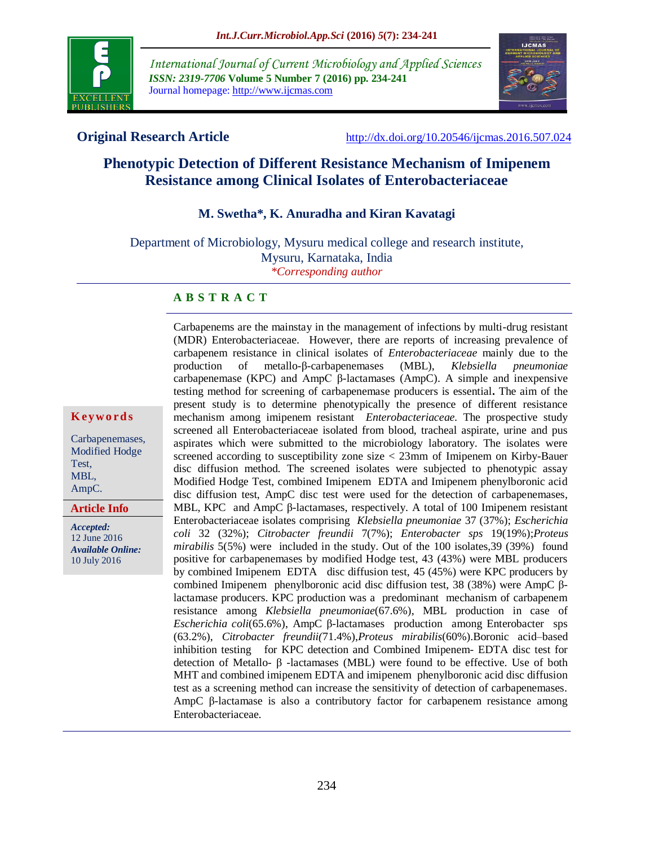

*International Journal of Current Microbiology and Applied Sciences ISSN: 2319-7706* **Volume 5 Number 7 (2016) pp. 234-241** Journal homepage: http://www.ijcmas.com



**Original Research Article** <http://dx.doi.org/10.20546/ijcmas.2016.507.024>

# **Phenotypic Detection of Different Resistance Mechanism of Imipenem Resistance among Clinical Isolates of Enterobacteriaceae**

### **M. Swetha\*, K. Anuradha and Kiran Kavatagi**

Department of Microbiology, Mysuru medical college and research institute, Mysuru, Karnataka, India *\*Corresponding author*

#### **A B S T R A C T**

**K ey w o rd s**

Carbapenemases, Modified Hodge Test, MBL, AmpC.

**Article Info**

*Accepted:*  12 June 2016 *Available Online:* 10 July 2016

(MDR) Enterobacteriaceae. However, there are reports of increasing prevalence of carbapenem resistance in clinical isolates of *Enterobacteriaceae* mainly due to the production of metallo-β-carbapenemases (MBL), *Klebsiella pneumoniae*  carbapenemase (KPC) and AmpC β-lactamases (AmpC). A simple and inexpensive testing method for screening of carbapenemase producers is essential**.** The aim of the present study is to determine phenotypically the presence of different resistance mechanism among imipenem resistant *Enterobacteriaceae.* The prospective study screened all Enterobacteriaceae isolated from blood, tracheal aspirate, urine and pus aspirates which were submitted to the microbiology laboratory. The isolates were screened according to susceptibility zone size < 23mm of Imipenem on Kirby-Bauer disc diffusion method. The screened isolates were subjected to phenotypic assay Modified Hodge Test, combined Imipenem EDTA and Imipenem phenylboronic acid disc diffusion test, AmpC disc test were used for the detection of carbapenemases, MBL, KPC and AmpC β-lactamases, respectively. A total of 100 Imipenem resistant Enterobacteriaceae isolates comprising *Klebsiella pneumoniae* 37 (37%); *Escherichia coli* 32 (32%); *Citrobacter freundii* 7(7%); *Enterobacter sps* 19(19%);*Proteus mirabilis* 5(5%) were included in the study. Out of the 100 isolates,39 (39%) found positive for carbapenemases by modified Hodge test, 43 (43%) were MBL producers by combined Imipenem EDTA disc diffusion test, 45 (45%) were KPC producers by combined Imipenem phenylboronic acid disc diffusion test, 38 (38%) were AmpC βlactamase producers. KPC production was a predominant mechanism of carbapenem resistance among *Klebsiella pneumoniae*(67.6%), MBL production in case of *Escherichia coli*(65.6%), AmpC β-lactamases production among Enterobacter sps (63.2%), *Citrobacter freundii(*71.4%),*Proteus mirabilis*(60%).Boronic acid–based inhibition testing for KPC detection and Combined Imipenem- EDTA disc test for detection of Metallo- β -lactamases (MBL) were found to be effective. Use of both MHT and combined imipenem EDTA and imipenem phenylboronic acid disc diffusion test as a screening method can increase the sensitivity of detection of carbapenemases. AmpC β-lactamase is also a contributory factor for carbapenem resistance among Enterobacteriaceae.

Carbapenems are the mainstay in the management of infections by multi-drug resistant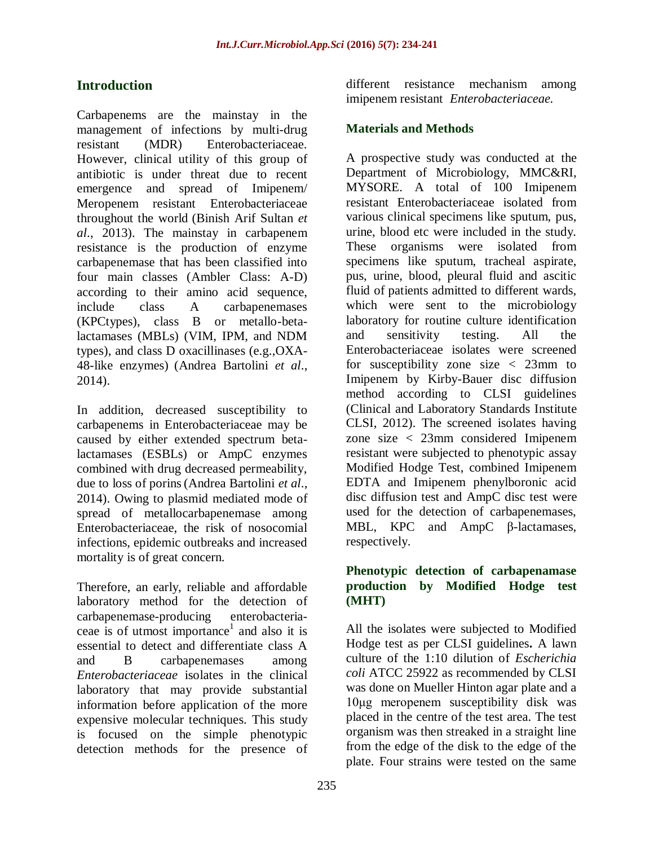# **Introduction**

Carbapenems are the mainstay in the management of infections by multi-drug resistant (MDR) Enterobacteriaceae. However, clinical utility of this group of antibiotic is under threat due to recent emergence and spread of Imipenem/ Meropenem resistant Enterobacteriaceae throughout the world (Binish Arif Sultan *et al*., 2013). The mainstay in carbapenem resistance is the production of enzyme carbapenemase that has been classified into four main classes (Ambler Class: A-D) according to their amino acid sequence, include class A carbapenemases (KPCtypes), class B or metallo-betalactamases (MBLs) (VIM, IPM, and NDM types), and class D oxacillinases (e.g.,OXA-48-like enzymes) (Andrea Bartolini *et al*., 2014).

In addition, decreased susceptibility to carbapenems in Enterobacteriaceae may be caused by either extended spectrum betalactamases (ESBLs) or AmpC enzymes combined with drug decreased permeability, due to loss of porins(Andrea Bartolini *et al*., 2014). Owing to plasmid mediated mode of spread of metallocarbapenemase among Enterobacteriaceae, the risk of nosocomial infections, epidemic outbreaks and increased mortality is of great concern.

Therefore, an early, reliable and affordable laboratory method for the detection of carbapenemase-producing enterobacteriaceae is of utmost importance<sup>1</sup> and also it is essential to detect and differentiate class A and B carbapenemases among *Enterobacteriaceae* isolates in the clinical laboratory that may provide substantial information before application of the more expensive molecular techniques. This study is focused on the simple phenotypic detection methods for the presence of

different resistance mechanism among imipenem resistant *Enterobacteriaceae.*

## **Materials and Methods**

A prospective study was conducted at the Department of Microbiology, MMC&RI, MYSORE. A total of 100 Imipenem resistant Enterobacteriaceae isolated from various clinical specimens like sputum, pus, urine, blood etc were included in the study. These organisms were isolated from specimens like sputum, tracheal aspirate, pus, urine, blood, pleural fluid and ascitic fluid of patients admitted to different wards, which were sent to the microbiology laboratory for routine culture identification and sensitivity testing. All the Enterobacteriaceae isolates were screened for susceptibility zone size  $\langle$  23mm to Imipenem by Kirby-Bauer disc diffusion method according to CLSI guidelines (Clinical and Laboratory Standards Institute CLSI, 2012). The screened isolates having zone size < 23mm considered Imipenem resistant were subjected to phenotypic assay Modified Hodge Test, combined Imipenem EDTA and Imipenem phenylboronic acid disc diffusion test and AmpC disc test were used for the detection of carbapenemases, MBL, KPC and AmpC β-lactamases, respectively.

#### **Phenotypic detection of carbapenamase production by Modified Hodge test (MHT)**

All the isolates were subjected to Modified Hodge test as per CLSI guidelines**.** A lawn culture of the 1:10 dilution of *Escherichia coli* ATCC 25922 as recommended by CLSI was done on Mueller Hinton agar plate and a 10μg meropenem susceptibility disk was placed in the centre of the test area. The test organism was then streaked in a straight line from the edge of the disk to the edge of the plate. Four strains were tested on the same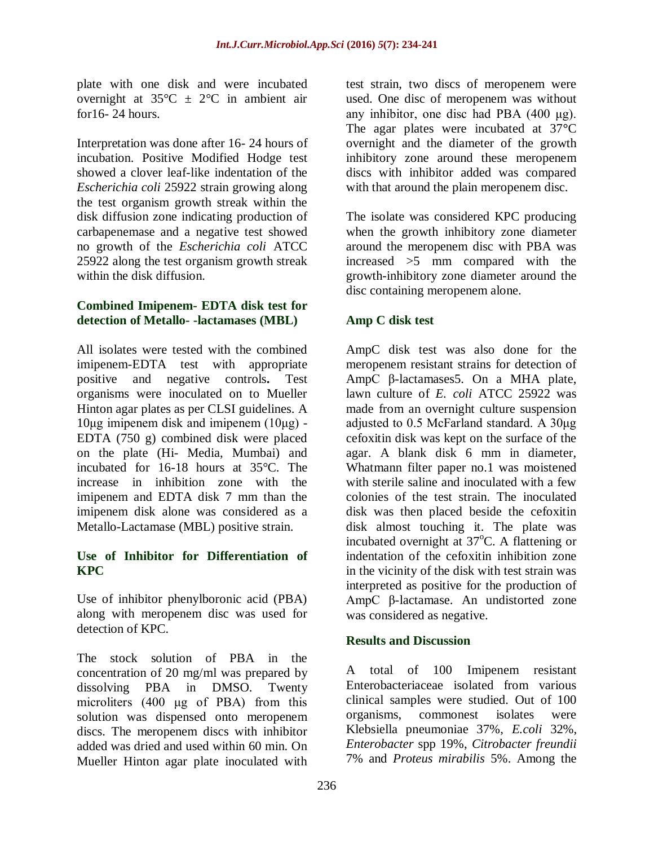plate with one disk and were incubated overnight at  $35^{\circ}$ C  $\pm$  2°C in ambient air for16- 24 hours.

Interpretation was done after 16- 24 hours of incubation. Positive Modified Hodge test showed a clover leaf-like indentation of the *Escherichia coli* 25922 strain growing along the test organism growth streak within the disk diffusion zone indicating production of carbapenemase and a negative test showed no growth of the *Escherichia coli* ATCC 25922 along the test organism growth streak within the disk diffusion.

#### **Combined Imipenem- EDTA disk test for detection of Metallo- -lactamases (MBL)**

All isolates were tested with the combined imipenem-EDTA test with appropriate positive and negative controls**.** Test organisms were inoculated on to Mueller Hinton agar plates as per CLSI guidelines. A 10μg imipenem disk and imipenem (10μg) - EDTA (750 g) combined disk were placed on the plate (Hi- Media, Mumbai) and incubated for 16-18 hours at 35°C. The increase in inhibition zone with the imipenem and EDTA disk 7 mm than the imipenem disk alone was considered as a Metallo-Lactamase (MBL) positive strain.

## **Use of Inhibitor for Differentiation of KPC**

Use of inhibitor phenylboronic acid (PBA) along with meropenem disc was used for detection of KPC.

The stock solution of PBA in the concentration of 20 mg/ml was prepared by dissolving PBA in DMSO. Twenty microliters (400 μg of PBA) from this solution was dispensed onto meropenem discs. The meropenem discs with inhibitor added was dried and used within 60 min. On Mueller Hinton agar plate inoculated with

test strain, two discs of meropenem were used. One disc of meropenem was without any inhibitor, one disc had PBA (400 μg). The agar plates were incubated at 37**°**C overnight and the diameter of the growth inhibitory zone around these meropenem discs with inhibitor added was compared with that around the plain meropenem disc.

The isolate was considered KPC producing when the growth inhibitory zone diameter around the meropenem disc with PBA was increased >5 mm compared with the growth-inhibitory zone diameter around the disc containing meropenem alone.

## **Amp C disk test**

AmpC disk test was also done for the meropenem resistant strains for detection of AmpC β-lactamases5. On a MHA plate, lawn culture of *E. coli* ATCC 25922 was made from an overnight culture suspension adjusted to 0.5 McFarland standard. A 30μg cefoxitin disk was kept on the surface of the agar. A blank disk 6 mm in diameter, Whatmann filter paper no.1 was moistened with sterile saline and inoculated with a few colonies of the test strain. The inoculated disk was then placed beside the cefoxitin disk almost touching it. The plate was incubated overnight at  $37^{\circ}$ C. A flattening or indentation of the cefoxitin inhibition zone in the vicinity of the disk with test strain was interpreted as positive for the production of AmpC β-lactamase. An undistorted zone was considered as negative.

## **Results and Discussion**

A total of 100 Imipenem resistant Enterobacteriaceae isolated from various clinical samples were studied. Out of 100 organisms, commonest isolates were Klebsiella pneumoniae 37%, *E.coli* 32%, *Enterobacter* spp 19%, *Citrobacter freundii* 7% and *Proteus mirabilis* 5%. Among the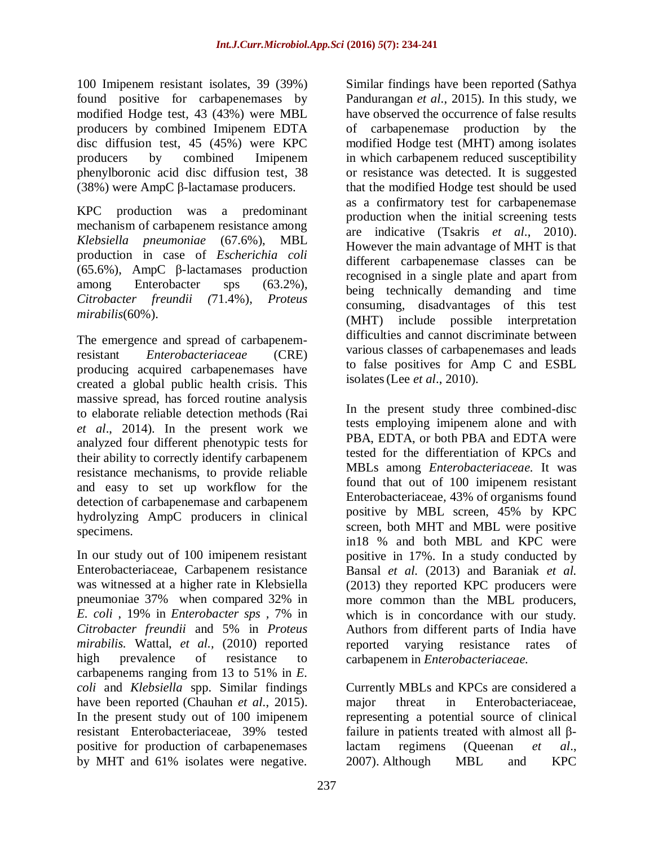100 Imipenem resistant isolates, 39 (39%) found positive for carbapenemases by modified Hodge test, 43 (43%) were MBL producers by combined Imipenem EDTA disc diffusion test, 45 (45%) were KPC producers by combined Imipenem phenylboronic acid disc diffusion test, 38 (38%) were AmpC β-lactamase producers.

KPC production was a predominant mechanism of carbapenem resistance among *Klebsiella pneumoniae* (67.6%), MBL production in case of *Escherichia coli* (65.6%), AmpC β-lactamases production among Enterobacter sps (63.2%), *Citrobacter freundii (*71.4%), *Proteus mirabilis*(60%).

The emergence and spread of carbapenemresistant *Enterobacteriaceae* (CRE) producing acquired carbapenemases have created a global public health crisis. This massive spread, has forced routine analysis to elaborate reliable detection methods (Rai *et al*., 2014). In the present work we analyzed four different phenotypic tests for their ability to correctly identify carbapenem resistance mechanisms, to provide reliable and easy to set up workflow for the detection of carbapenemase and carbapenem hydrolyzing AmpC producers in clinical specimens.

In our study out of 100 imipenem resistant Enterobacteriaceae, Carbapenem resistance was witnessed at a higher rate in Klebsiella pneumoniae 37% when compared 32% in *E. coli* , 19% in *Enterobacter sps ,* 7% in *Citrobacter freundii* and 5% in *Proteus mirabilis.* Wattal, *et al.,* (2010) reported high prevalence of resistance to carbapenems ranging from 13 to 51% in *E. coli* and *Klebsiella* spp. Similar findings have been reported (Chauhan *et al*., 2015). In the present study out of 100 imipenem resistant Enterobacteriaceae, 39% tested positive for production of carbapenemases by MHT and 61% isolates were negative.

Similar findings have been reported (Sathya Pandurangan *et al*., 2015). In this study, we have observed the occurrence of false results of carbapenemase production by the modified Hodge test (MHT) among isolates in which carbapenem reduced susceptibility or resistance was detected. It is suggested that the modified Hodge test should be used as a confirmatory test for carbapenemase production when the initial screening tests are indicative (Tsakris *et al*., 2010). However the main advantage of MHT is that different carbapenemase classes can be recognised in a single plate and apart from being technically demanding and time consuming, disadvantages of this test (MHT) include possible interpretation difficulties and cannot discriminate between various classes of carbapenemases and leads to false positives for Amp C and ESBL isolates(Lee *et al*., 2010).

In the present study three combined-disc tests employing imipenem alone and with PBA, EDTA, or both PBA and EDTA were tested for the differentiation of KPCs and MBLs among *Enterobacteriaceae.* It was found that out of 100 imipenem resistant Enterobacteriaceae*,* 43% of organisms found positive by MBL screen, 45% by KPC screen, both MHT and MBL were positive in18 % and both MBL and KPC were positive in 17%. In a study conducted by Bansal *et al.* (2013) and Baraniak *et al.*  (2013) they reported KPC producers were more common than the MBL producers, which is in concordance with our study. Authors from different parts of India have reported varying resistance rates of carbapenem in *Enterobacteriaceae.*

Currently MBLs and KPCs are considered a major threat in Enterobacteriaceae, representing a potential source of clinical failure in patients treated with almost all βlactam regimens (Queenan *et al*., 2007). Although MBL and KPC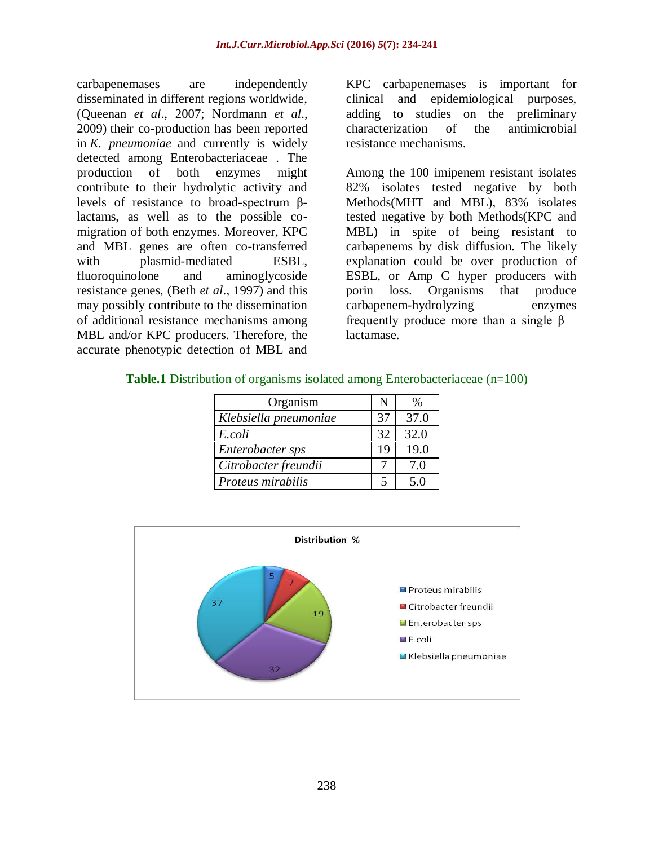carbapenemases are independently disseminated in different regions worldwide, (Queenan *et al*., 2007; Nordmann *et al*., 2009) their co-production has been reported in *K. pneumoniae* and currently is widely detected among Enterobacteriaceae . The production of both enzymes might contribute to their hydrolytic activity and levels of resistance to broad-spectrum βlactams, as well as to the possible comigration of both enzymes. Moreover, KPC and MBL genes are often co-transferred with plasmid-mediated ESBL, fluoroquinolone and aminoglycoside resistance genes, (Beth *et al*., 1997) and this may possibly contribute to the dissemination of additional resistance mechanisms among MBL and/or KPC producers. Therefore, the accurate phenotypic detection of MBL and

KPC carbapenemases is important for clinical and epidemiological purposes, adding to studies on the preliminary characterization of the antimicrobial resistance mechanisms.

Among the 100 imipenem resistant isolates 82% isolates tested negative by both Methods(MHT and MBL), 83% isolates tested negative by both Methods(KPC and MBL) in spite of being resistant to carbapenems by disk diffusion. The likely explanation could be over production of ESBL, or Amp C hyper producers with porin loss. Organisms that produce carbapenem-hydrolyzing enzymes frequently produce more than a single  $\beta$  – lactamase.

| <b>Table.1</b> Distribution of organisms isolated among Enterobacteriaceae (n=100) |  |  |
|------------------------------------------------------------------------------------|--|--|
|------------------------------------------------------------------------------------|--|--|

| Organism              | N                        | %    |
|-----------------------|--------------------------|------|
| Klebsiella pneumoniae | 37                       | 37.0 |
| E.coli                | 32                       | 32.0 |
| Enterobacter sps      | 19                       | 19.0 |
| Citrobacter freundii  |                          | 7.0  |
| Proteus mirabilis     | $\overline{\phantom{1}}$ | 5.0  |

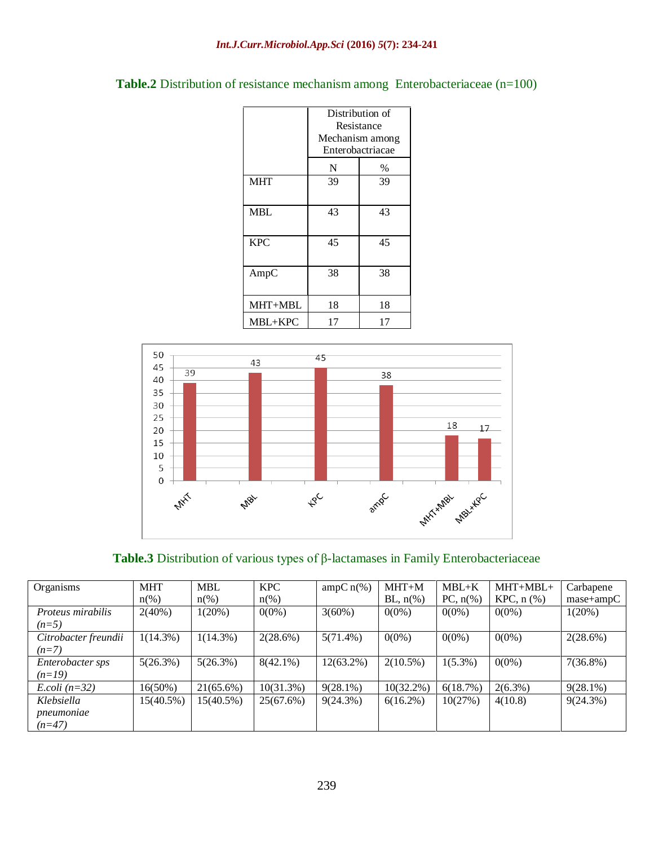| Table.2 Distribution of resistance mechanism among Enterobacteriaceae (n=100) |  |  |  |  |
|-------------------------------------------------------------------------------|--|--|--|--|
|-------------------------------------------------------------------------------|--|--|--|--|

|            | Distribution of<br>Resistance<br>Mechanism among<br>Enterobactriacae |      |  |  |
|------------|----------------------------------------------------------------------|------|--|--|
|            | N                                                                    | $\%$ |  |  |
| <b>MHT</b> | 39                                                                   | 39   |  |  |
| MBL        | 43                                                                   | 43   |  |  |
| <b>KPC</b> | 45                                                                   | 45   |  |  |
| AmpC       | 38                                                                   | 38   |  |  |
| MHT+MBL    | 18                                                                   | 18   |  |  |
| MBL+KPC    | 17                                                                   | 17   |  |  |



**Table.3** Distribution of various types of β-lactamases in Family Enterobacteriaceae

| Organisms            | <b>MHT</b>          | <b>MBL</b>          | <b>KPC</b>         | $ampC n$ <sup>(%)</sup> | $MHT+M$      | $MBL+K$                | $MHT+MBL+$       | Carbapene   |
|----------------------|---------------------|---------------------|--------------------|-------------------------|--------------|------------------------|------------------|-------------|
|                      | $n\frac{\omega}{6}$ | $n\frac{\omega}{6}$ | $n\left(\%\right)$ |                         | BL, $n\%$ )  | PC, $n\left(\%\right)$ | $KPC$ , n $(\%)$ | $mase+ampC$ |
| Proteus mirabilis    | $2(40\%)$           | $1(20\%)$           | $0(0\%)$           | $3(60\%)$               | $0(0\%)$     | $0(0\%)$               | $0(0\%)$         | 1(20%)      |
| $(n=5)$              |                     |                     |                    |                         |              |                        |                  |             |
| Citrobacter freundii | $1(14.3\%)$         | $1(14.3\%)$         | 2(28.6%)           | $5(71.4\%)$             | $0(0\%)$     | $0(0\%)$               | $0(0\%)$         | 2(28.6%)    |
| $(n=7)$              |                     |                     |                    |                         |              |                        |                  |             |
| Enterobacter sps     | 5(26.3%)            | 5(26.3%)            | $8(42.1\%)$        | $12(63.2\%)$            | $2(10.5\%)$  | $1(5.3\%)$             | $0(0\%)$         | $7(36.8\%)$ |
| $(n=19)$             |                     |                     |                    |                         |              |                        |                  |             |
| $E. coli (n=32)$     | $16(50\%)$          | $21(65.6\%)$        | $10(31.3\%)$       | $9(28.1\%)$             | $10(32.2\%)$ | 6(18.7%)               | $2(6.3\%)$       | $9(28.1\%)$ |
| Klebsiella           | 15(40.5%)           | 15(40.5%)           | 25(67.6%)          | $9(24.3\%)$             | $6(16.2\%)$  | 10(27%)                | 4(10.8)          | 9(24.3%)    |
| pneumoniae           |                     |                     |                    |                         |              |                        |                  |             |
| $(n=47)$             |                     |                     |                    |                         |              |                        |                  |             |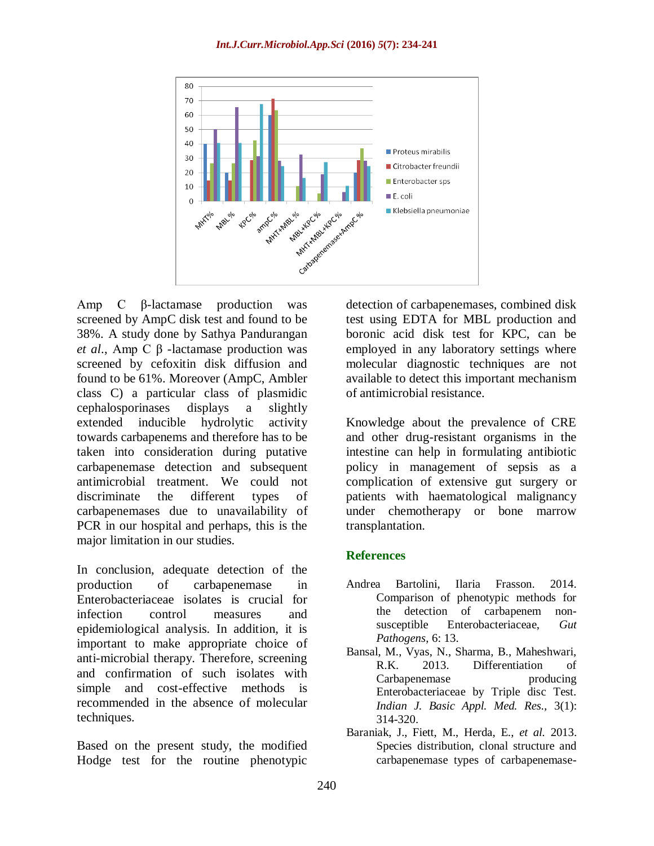

Amp C β-lactamase production was screened by AmpC disk test and found to be 38%. A study done by Sathya Pandurangan *et al*., Amp C β -lactamase production was screened by cefoxitin disk diffusion and found to be 61%. Moreover (AmpC, Ambler class C) a particular class of plasmidic cephalosporinases displays a slightly extended inducible hydrolytic activity towards carbapenems and therefore has to be taken into consideration during putative carbapenemase detection and subsequent antimicrobial treatment. We could not discriminate the different types of carbapenemases due to unavailability of PCR in our hospital and perhaps, this is the major limitation in our studies.

In conclusion, adequate detection of the production of carbapenemase in Enterobacteriaceae isolates is crucial for infection control measures and epidemiological analysis. In addition, it is important to make appropriate choice of anti-microbial therapy. Therefore, screening and confirmation of such isolates with simple and cost-effective methods is recommended in the absence of molecular techniques.

Based on the present study, the modified Hodge test for the routine phenotypic

detection of carbapenemases, combined disk test using EDTA for MBL production and boronic acid disk test for KPC, can be employed in any laboratory settings where molecular diagnostic techniques are not available to detect this important mechanism of antimicrobial resistance.

Knowledge about the prevalence of CRE and other drug-resistant organisms in the intestine can help in formulating antibiotic policy in management of sepsis as a complication of extensive gut surgery or patients with haematological malignancy under chemotherapy or bone marrow transplantation.

## **References**

- Andrea Bartolini, Ilaria Frasson. 2014. Comparison of phenotypic methods for the detection of carbapenem nonsusceptible Enterobacteriaceae, *Gut Pathogens*, 6: 13.
- Bansal, M., Vyas, N., Sharma, B., Maheshwari, R.K. 2013. Differentiation of Carbapenemase producing Enterobacteriaceae by Triple disc Test. *Indian J. Basic Appl. Med. Res.,* 3(1): 314-320.
- Baraniak, J., Fiett, M., Herda, E., *et al.* 2013. Species distribution, clonal structure and carbapenemase types of carbapenemase-